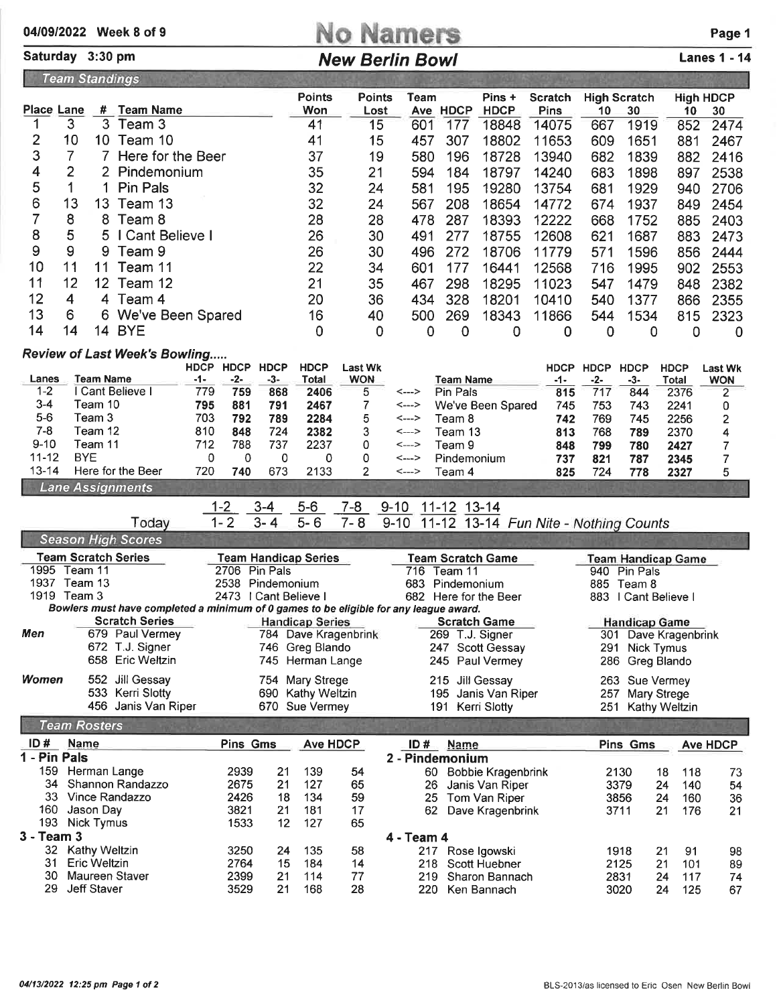|  | 09/2022 Week 8 of 9 |  |  |
|--|---------------------|--|--|
|--|---------------------|--|--|

04/09/2022 Week 8 of 9 No Namers Page 1

| Saturday 3:30 pm                     |                     |                                                                                       |            |                 |                     |                             | <b>New Berlin Bowl</b> |                 |                              |                                        |                                       |              |                      |                        | <b>Lanes 1 - 14</b> |
|--------------------------------------|---------------------|---------------------------------------------------------------------------------------|------------|-----------------|---------------------|-----------------------------|------------------------|-----------------|------------------------------|----------------------------------------|---------------------------------------|--------------|----------------------|------------------------|---------------------|
| <b>Team Standings</b>                |                     |                                                                                       |            |                 |                     |                             |                        |                 |                              |                                        |                                       |              |                      |                        |                     |
|                                      |                     |                                                                                       |            |                 |                     | <b>Points</b>               | <b>Points</b>          | <b>Team</b>     |                              | Pins +                                 | <b>Scratch</b>                        |              | <b>High Scratch</b>  |                        | <b>High HDCP</b>    |
| Place Lane                           |                     | # Team Name                                                                           |            |                 |                     | Won                         | Lost                   |                 | Ave HDCP                     | <b>HDCP</b>                            | <b>Pins</b>                           | 10           | 30                   | 10                     | 30                  |
| 1                                    | 3                   | 3<br>Team 3                                                                           |            |                 |                     | 41                          | 15                     | 601             | 177                          | 18848                                  | 14075                                 | 667          | 1919                 | 852                    | 2474                |
| $\overline{c}$                       | 10                  | Team 10<br>10 <sup>°</sup>                                                            |            |                 |                     | 41                          | 15                     | 457             | 307                          | 18802                                  | 11653                                 | 609          | 1651                 | 881                    | 2467                |
| 3                                    | 7                   | Here for the Beer<br>7                                                                |            |                 |                     | 37                          | 19                     | 580             | 196                          | 18728                                  | 13940                                 | 682          | 1839                 | 882                    | 2416                |
| 4                                    | 2                   | $\overline{2}$<br>Pindemonium                                                         |            |                 |                     | 35                          | 21                     | 594             | 184                          | 18797                                  | 14240                                 | 683          | 1898                 | 897                    | 2538                |
| 5                                    | 1                   | <b>Pin Pals</b><br>1                                                                  |            |                 |                     | 32                          | 24                     | 581             | 195                          | 19280                                  | 13754                                 | 681          | 1929                 | 940                    | 2706                |
| 6                                    | 13                  | 13<br>Team 13                                                                         |            |                 |                     | 32                          | 24                     | 567             | 208                          | 18654                                  | 14772                                 | 674          | 1937                 | 849                    | 2454                |
| $\overline{7}$                       | 8                   | 8<br>Team 8                                                                           |            |                 |                     | 28                          | 28                     | 478             | 287                          | 18393                                  | 12222                                 | 668          | 1752                 | 885                    | 2403                |
| 8                                    | 5                   | I Cant Believe I<br>5                                                                 |            |                 |                     | 26                          | 30                     | 491             | 277                          | 18755                                  | 12608                                 | 621          | 1687                 | 883                    | 2473                |
| 9                                    | 9                   | 9<br>Team 9                                                                           |            |                 |                     | 26                          | 30                     | 496             | 272                          | 18706                                  | 11779                                 | 571          | 1596                 | 856                    | 2444                |
| 10                                   | 11                  | 11<br>Team 11                                                                         |            |                 |                     | 22                          | 34                     | 601             | 177                          | 16441                                  | 12568                                 | 716          | 1995                 | 902                    | 2553                |
| 11                                   | 12                  | 12 <sup>2</sup><br>Team 12                                                            |            |                 |                     | 21                          | 35                     | 467             | 298                          | 18295                                  | 11023                                 | 547          | 1479                 | 848                    | 2382                |
| 12                                   | 4                   | 4 Team 4                                                                              |            |                 |                     | 20                          | 36                     | 434             | 328                          | 18201                                  | 10410                                 | 540          | 1377                 | 866                    | 2355                |
| 13                                   | 6                   | We've Been Spared<br>6.                                                               |            |                 |                     | 16                          | 40                     | 500             | 269                          | 18343                                  | 11866                                 | 544          | 1534                 | 815                    | 2323                |
| 14                                   | 14                  | 14 BYE                                                                                |            |                 |                     | 0                           | 0                      | 0               | 0                            | 0                                      | 0                                     | 0            | 0                    | 0                      | $\Omega$            |
| <b>Review of Last Week's Bowling</b> |                     |                                                                                       |            |                 |                     |                             |                        |                 |                              |                                        |                                       |              |                      |                        |                     |
|                                      |                     |                                                                                       | HDCP HDCP  |                 | <b>HDCP</b>         | <b>HDCP</b>                 | <b>Last Wk</b>         |                 |                              |                                        | <b>HDCP</b>                           | <b>HDCP</b>  | <b>HDCP</b>          | <b>HDCP</b>            | <b>Last Wk</b>      |
| Lanes<br>$1 - 2$                     |                     | Team Name<br>I Cant Believe I                                                         | -1-<br>779 | $-2-$<br>759    | $-3-$<br>868        | Total<br>2406               | <b>WON</b><br>5        | <--->           | <b>Team Name</b><br>Pin Pals |                                        | $-1-$<br>815                          | $-2-$<br>717 | $-3-$<br>844         | Total<br>2376          | <b>WON</b>          |
| $3 - 4$                              |                     | Team 10                                                                               | 795        | 881             | 791                 | 2467                        | 7                      | <--->           |                              | We've Been Spared                      | 745                                   | 753          | 743                  | 2241                   | 2<br>0              |
| $5-6$                                | Team 3              |                                                                                       | 703        | 792             | 789                 | 2284                        | 5                      | <--->           | Team 8                       |                                        | 742                                   | 769          | 745                  | 2256                   | 2                   |
| $7 - 8$                              |                     | Team 12                                                                               | 810        | 848             | 724                 | 2382                        | 3                      | <--->           | Team 13                      |                                        | 813                                   | 768          | 789                  | 2370                   | 4                   |
| $9 - 10$                             |                     | Team 11                                                                               | 712        | 788             | 737                 | 2237                        | 0                      | <--->           | Team 9                       |                                        | 848                                   | 799          | 780                  | 2427                   | 7                   |
|                                      | <b>BYE</b>          |                                                                                       | 0          | 0               | 0                   | 0                           | 0                      | <--->           | Pindemonium                  |                                        | 737                                   | 821          | 787                  | 2345                   | 7                   |
| $11 - 12$                            |                     |                                                                                       |            |                 |                     |                             |                        |                 |                              |                                        |                                       |              |                      |                        |                     |
| $13 - 14$                            |                     | Here for the Beer                                                                     | 720        | 740             | 673                 | 2133                        | 2                      | <--->           | Team 4                       |                                        | 825                                   | 724          | 778                  | 2327                   | 5                   |
|                                      |                     | <b>Lane Assignments</b>                                                               |            |                 |                     |                             |                        |                 |                              |                                        |                                       |              |                      |                        |                     |
|                                      |                     |                                                                                       |            | $1 - 2$         | $3 - 4$             | $5 - 6$                     | $7 - 8$                | $9 - 10$        | 11-12 13-14                  |                                        |                                       |              |                      |                        |                     |
|                                      |                     | Today                                                                                 |            | $1 - 2$         | $3 - 4$             | $5 - 6$                     | $7 - 8$                | $9 - 10$        |                              |                                        | 11-12 13-14 Fun Nite - Nothing Counts |              |                      |                        |                     |
|                                      |                     | <b>Season High Scores</b>                                                             |            |                 |                     |                             |                        |                 |                              |                                        |                                       |              |                      |                        |                     |
| 1995 Team 11                         |                     | <b>Team Scratch Series</b>                                                            |            |                 | 2706 Pin Pals       | <b>Team Handicap Series</b> |                        |                 | 716 Team 11                  | <b>Team Scratch Game</b>               |                                       |              | 940 Pin Pals         | Team Handicap Game     |                     |
| 1937 Team 13                         |                     |                                                                                       |            |                 | 2538 Pindemonium    |                             |                        |                 | 683 Pindemonium              |                                        |                                       |              | 885 Team 8           |                        |                     |
| 1919 Team 3                          |                     |                                                                                       |            |                 | 2473   Cant Believe |                             |                        |                 |                              | 682 Here for the Beer                  |                                       |              | 883   Cant Believe   |                        |                     |
|                                      |                     | Bowlers must have completed a minimum of 0 games to be eligible for any league award. |            |                 |                     |                             |                        |                 |                              |                                        |                                       |              |                      |                        |                     |
| Men                                  |                     | Scratch Series <b>Mandicap Series</b><br>679 Paul Vermey                              |            |                 |                     | 784 Dave Kragenbrink        |                        |                 |                              | <b>Scratch Game</b><br>269 T.J. Signer |                                       |              | <b>Handicap Game</b> |                        |                     |
|                                      |                     | 672 T.J. Signer                                                                       |            |                 |                     | 746 Greg Blando             |                        |                 |                              | 247 Scott Gessay                       |                                       | 291          | Nick Tymus           | 301 Dave Kragenbrink   |                     |
|                                      |                     | 658 Eric Weltzin                                                                      |            |                 |                     | 745 Herman Lange            |                        |                 |                              | 245 Paul Vermey                        |                                       |              | 286 Greg Blando      |                        |                     |
| <b>Women</b>                         |                     | 552 Jill Gessay                                                                       |            |                 |                     | 754 Mary Strege             |                        |                 |                              | 215 Jill Gessay                        |                                       |              | 263 Sue Vermey       |                        |                     |
|                                      |                     | 533 Kerri Slotty                                                                      |            |                 |                     | 690 Kathy Weltzin           |                        |                 |                              | 195 Janis Van Riper                    |                                       | 257          | Mary Strege          |                        |                     |
|                                      |                     | 456 Janis Van Riper                                                                   |            |                 |                     | 670 Sue Vermey              |                        |                 |                              | 191 Kerri Slotty                       |                                       |              | 251 Kathy Weltzin    |                        |                     |
|                                      | <b>Team Rosters</b> |                                                                                       |            |                 |                     |                             |                        |                 |                              |                                        |                                       |              |                      |                        |                     |
| ID#                                  | <b>Name</b>         |                                                                                       |            | <b>Pins Gms</b> |                     | Ave HDCP                    |                        | ID#             | Name                         |                                        |                                       |              | Pins Gms             |                        | <b>Ave HDCP</b>     |
| 1 - Pin Pals                         |                     |                                                                                       |            |                 |                     |                             |                        | 2 - Pindemonium |                              |                                        |                                       |              |                      |                        |                     |
| 159<br>34                            |                     | Herman Lange                                                                          |            | 2939            | 21                  | 139                         | 54                     |                 |                              | 60 Bobbie Kragenbrink                  |                                       |              | 2130                 | 18<br>118              | 73                  |
|                                      |                     | Shannon Randazzo<br>33 Vince Randazzo                                                 |            | 2675<br>2426    | 21<br>18            | 127<br>134                  | 65<br>59               | 26              |                              | Janis Van Riper<br>25 Tom Van Riper    |                                       |              | 3379<br>3856         | 24<br>140<br>24<br>160 | 54<br>36            |
| 160                                  | Jason Day           |                                                                                       |            | 3821            | 21                  | 181                         | 17                     | 62              |                              | Dave Kragenbrink                       |                                       |              | 3711                 | 21<br>176              | 21                  |
|                                      | 193 Nick Tymus      |                                                                                       |            | 1533            | 12                  | 127                         | 65                     |                 |                              |                                        |                                       |              |                      |                        |                     |
|                                      |                     |                                                                                       |            |                 |                     |                             |                        | 4 - Team 4      |                              |                                        |                                       |              |                      |                        |                     |
| $3 - Team 3$                         |                     | 32 Kathy Weltzin                                                                      |            | 3250            | 24                  | 135                         | 58                     |                 |                              | 217 Rose Igowski                       |                                       |              | 1918                 | 21<br>91               | 98                  |
| 31<br>30                             |                     | <b>Eric Weltzin</b><br>Maureen Staver                                                 |            | 2764<br>2399    | 15<br>21            | 184<br>114                  | 14<br>77               | 218<br>219      |                              | <b>Scott Huebner</b><br>Sharon Bannach |                                       |              | 2125                 | 21<br>101<br>24<br>117 | 89                  |
| 29                                   | <b>Jeff Staver</b>  |                                                                                       |            | 3529            | 21                  | 168                         | 28                     |                 |                              | 220 Ken Bannach                        |                                       |              | 2831<br>3020         | 24<br>125              | 74<br>67            |
|                                      |                     |                                                                                       |            |                 |                     |                             |                        |                 |                              |                                        |                                       |              |                      |                        |                     |